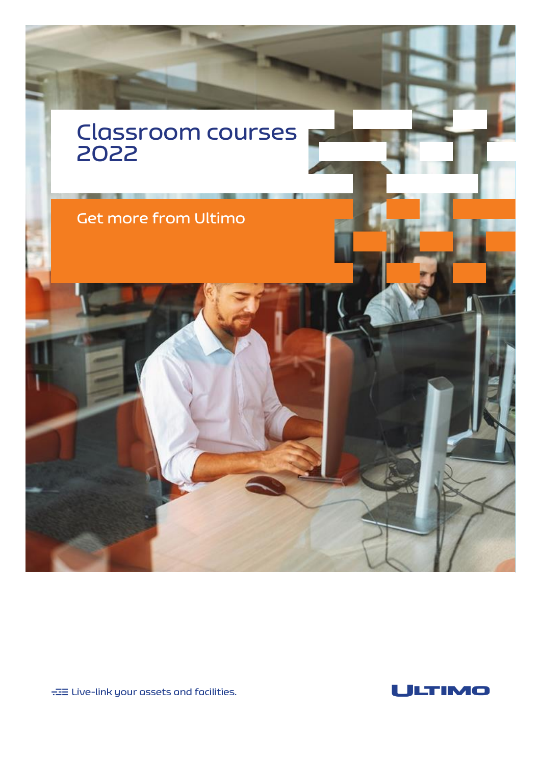

 $\pm\Xi$  Live-link your assets and facilities.

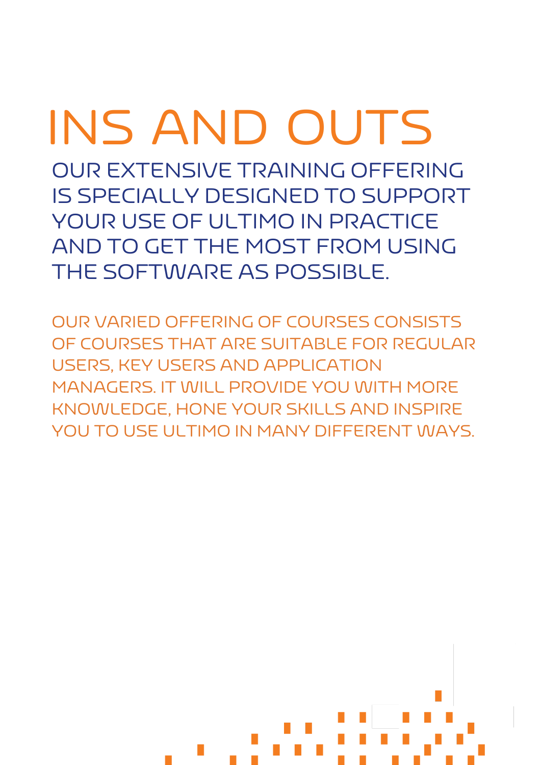# INS AND OUTS

OUR EXTENSIVE TRAINING OFFERING IS SPECIALLY DESIGNED TO SUPPORT YOUR USE OF ULTIMO IN PRACTICE AND TO GET THE MOST FROM USING THE SOFTWARE AS POSSIBLE.

OUR VARIED OFFERING OF COURSES CONSISTS OF COURSES THAT ARE SUITABLE FOR REGULAR USERS, KEY USERS AND APPLICATION MANAGERS. IT WILL PROVIDE YOU WITH MORE KNOWLEDGE, HONE YOUR SKILLS AND INSPIRE YOU TO USE ULTIMO IN MANY DIFFERENT WAYS.

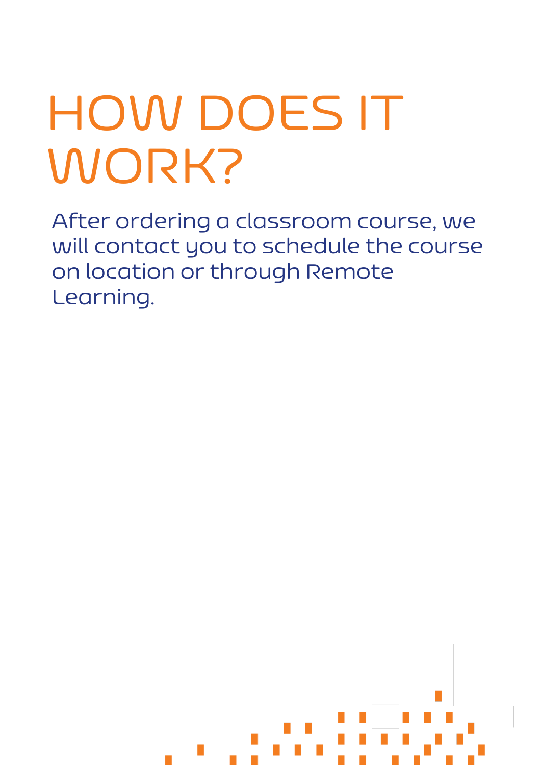# HOW DOES IT WORK?

After ordering a classroom course, we will contact you to schedule the course on location or through Remote Learning.

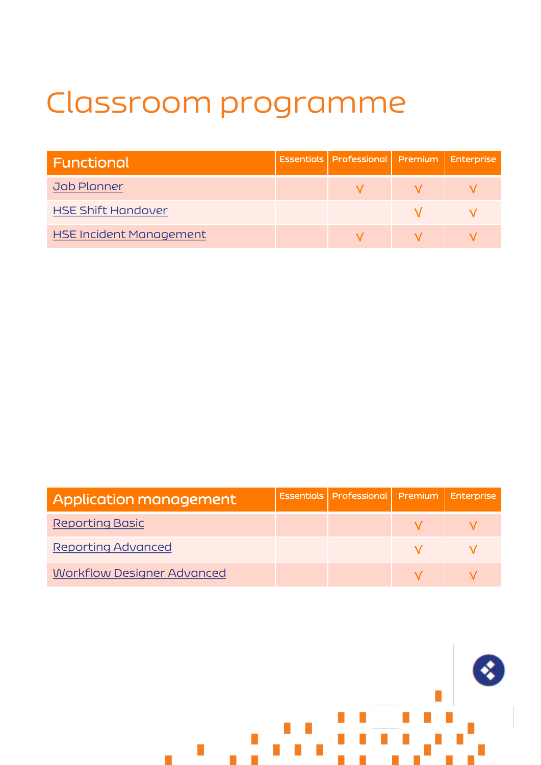# Classroom programme

| Functional                | <b>Essentials Professional Premium Enterprise</b> |  |
|---------------------------|---------------------------------------------------|--|
| Job Planner               |                                                   |  |
| <b>HSE Shift Handover</b> |                                                   |  |
| HSE Incident Management   |                                                   |  |

| Application management            | Essentials   Professional   Premium   Enterprise |  |
|-----------------------------------|--------------------------------------------------|--|
| <b>Reporting Basic</b>            |                                                  |  |
| Reporting Advanced                |                                                  |  |
| <b>Workflow Designer Advanced</b> |                                                  |  |

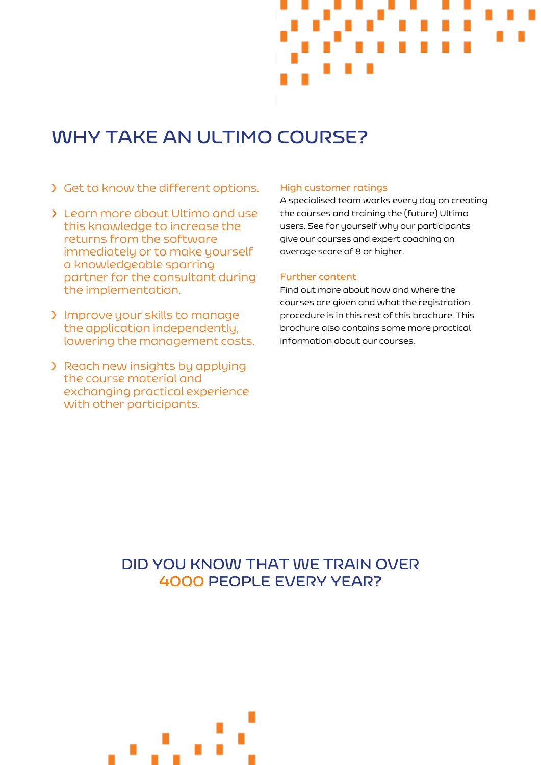

## **WHY TAKE AN ULTIMO COURSE?**

- ❯ Get to know the different options.
- ❯ Learn more about Ultimo and use this knowledge to increase the returns from the software immediately or to make yourself a knowledgeable sparring partner for the consultant during the implementation.
- ❯ Improve your skills to manage the application independently, lowering the management costs.
- ❯ Reach new insights by applying the course material and exchanging practical experience with other participants.

#### **High customer ratings**

A specialised team works every day on creating the courses and training the (future) Ultimo users. See for yourself why our participants give our courses and expert coaching an average score of 8 or higher.

#### **Further content**

Find out more about how and where the courses are given and what the registration procedure is in this rest of this brochure. This brochure also contains some more practical information about our courses.

## **DID YOU KNOW THAT WE TRAIN OVER 4000 PEOPLE EVERY YEAR?**

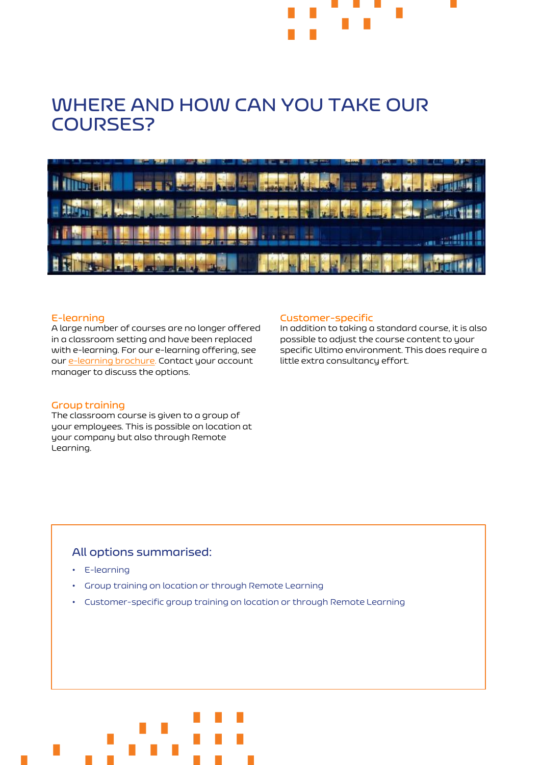## **WHERE AND HOW CAN YOU TAKE OUR COURSES?**



#### **E-learning**

A large number of courses are no longer offered in a classroom setting and have been replaced with e-learning. For our e-learning offering, see our [e-learning brochure](https://marketing.ultimo.com/acton/attachment/16845/f-0e0e383a-587c-439e-a825-d2c236c2da04/1/-/-/-/-/Brochure%20e-learning%20trainingen%202020%20-%20NL.pdf). Contact your account manager to discuss the options.

#### **Group training**

The classroom course is given to a group of your employees. This is possible on location at your company but also through Remote Learning.

#### **Customer-specific**

In addition to taking a standard course, it is also possible to adjust the course content to your specific Ultimo environment. This does require a little extra consultancy effort.

#### **All options summarised:**

- E-learning
- Group training on location or through Remote Learning
- Customer-specific group training on location or through Remote Learning

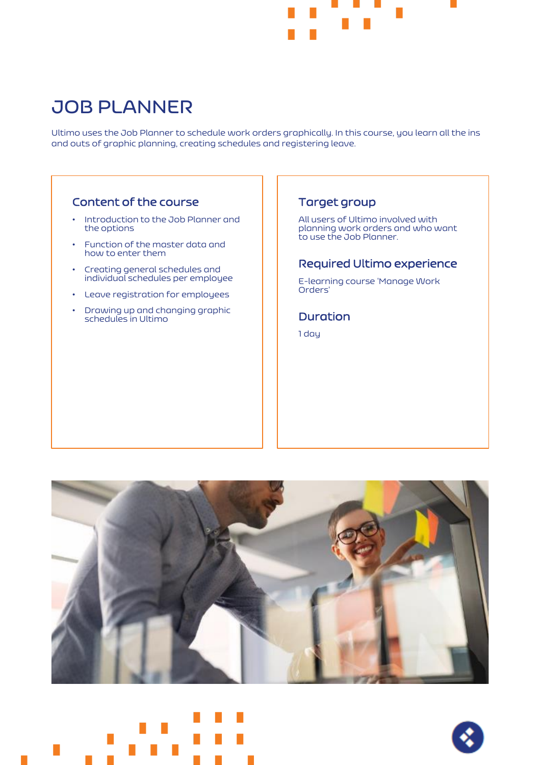

## <span id="page-6-0"></span>**JOB PLANNER**

Ultimo uses the Job Planner to schedule work orders graphically. In this course, you learn all the ins and outs of graphic planning, creating schedules and registering leave.

## Content of the course

- Introduction to the Job Planner and the options
- Function of the master data and how to enter them
- Creating general schedules and individual schedules per employee
- Leave registration for employees
- Drawing up and changing graphic schedules in Ultimo

#### Target group

All users of Ultimo involved with planning work orders and who want to use the Job Planner.

#### Required Ultimo experience

E-learning course 'Manage Work Orders'

## Duration

1 day





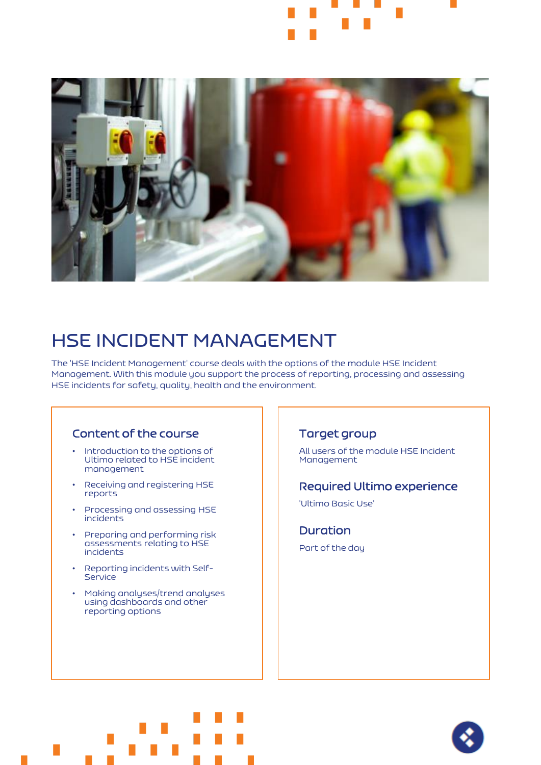<span id="page-7-0"></span>

## **HSE INCIDENT MANAGEMENT**

The 'HSE Incident Management' course deals with the options of the module HSE Incident Management. With this module you support the process of reporting, processing and assessing HSE incidents for safety, quality, health and the environment.

#### Content of the course

- Introduction to the options of Ultimo related to HSE incident management
- Receiving and registering HSE reports
- Processing and assessing HSE incidents
- Preparing and performing risk assessments relating to HSE incidents
- Reporting incidents with Self-**Service**
- Making analyses/trend analyses using dashboards and other reporting options

#### Target group

All users of the module HSE Incident Management

#### Required Ultimo experience

'Ultimo Basic Use'

Duration Part of the day



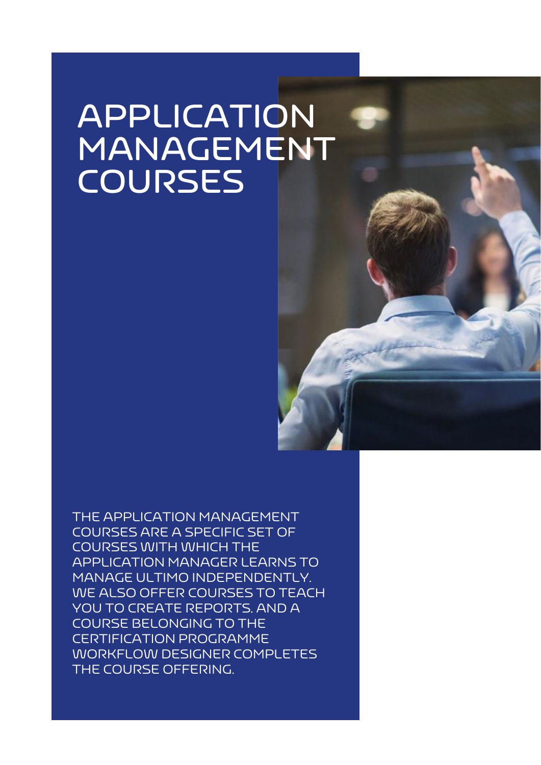# **APPLICATION MANAGEMENT COURSES**

THE APPLICATION MANAGEMENT COURSES ARE A SPECIFIC SET OF COURSES WITH WHICH THE APPLICATION MANAGER LEARNS TO MANAGE ULTIMO INDEPENDENTLY. WE ALSO OFFER COURSES TO TEACH YOU TO CREATE REPORTS. AND A COURSE BELONGING TO THE CERTIFICATION PROGRAMME WORKFLOW DESIGNER COMPLETES THE COURSE OFFERING.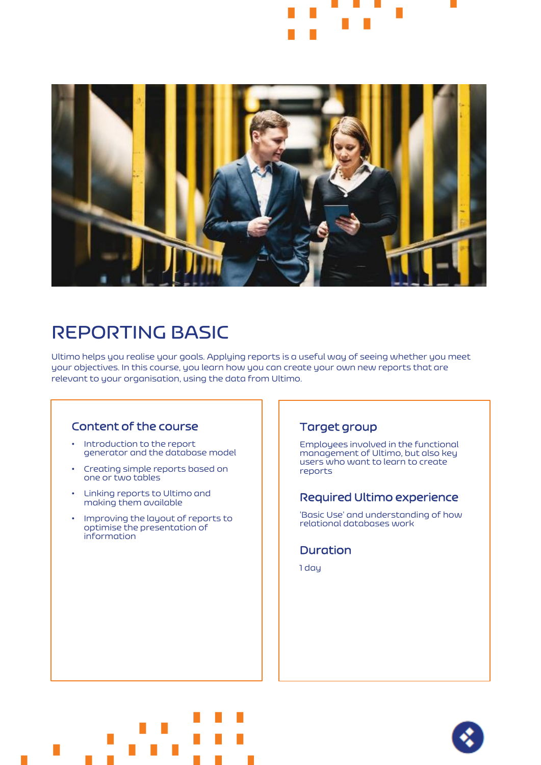

<span id="page-9-0"></span>

## **REPORTING BASIC**

Ultimo helps you realise your goals. Applying reports is a useful way of seeing whether you meet your objectives. In this course, you learn how you can create your own new reports that are relevant to your organisation, using the data from Ultimo.

#### Content of the course

- Introduction to the report generator and the database model
- Creating simple reports based on one or two tables
- Linking reports to Ultimo and making them available
- Improving the layout of reports to optimise the presentation of information

### Target group

Employees involved in the functional management of Ultimo, but also key users who want to learn to create reports

#### Required Ultimo experience

'Basic Use' and understanding of how relational databases work

#### Duration

1 day



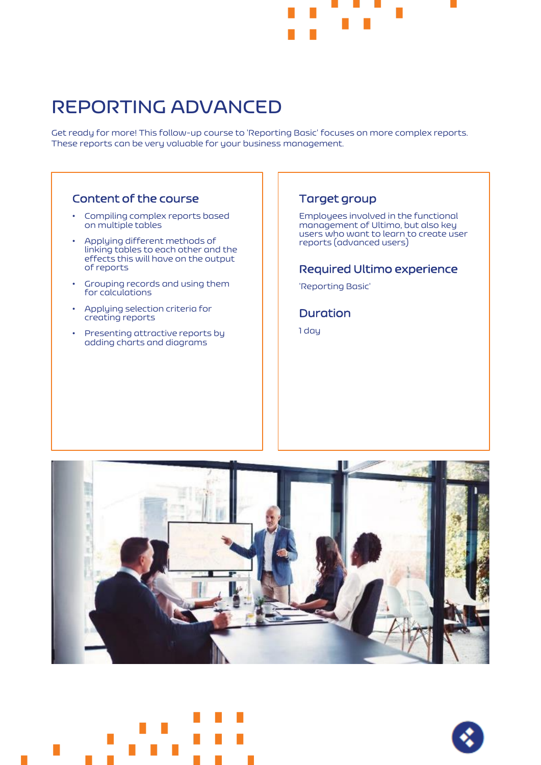

## <span id="page-10-0"></span>**REPORTING ADVANCED**

Get ready for more! This follow-up course to 'Reporting Basic' focuses on more complex reports. These reports can be very valuable for your business management.

#### Content of the course

- Compiling complex reports based on multiple tables
- Applying different methods of linking tables to each other and the effects this will have on the output of reports
- Grouping records and using them for calculations
- Applying selection criteria for creating reports
- Presenting attractive reports by adding charts and diagrams

#### Target group

Employees involved in the functional management of Ultimo, but also key users who want to learn to create user reports (advanced users)

#### Required Ultimo experience

'Reporting Basic'

#### **Duration**

1 day





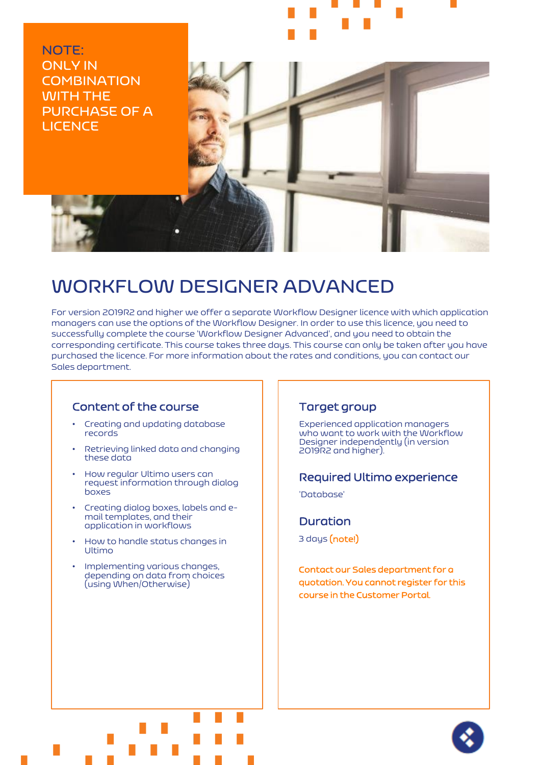<span id="page-11-0"></span>**NOTE: ONLY IN COMBINATION WITH THE PURCHASE OF A LICENCE** 



## **WORKFLOW DESIGNER ADVANCED**

For version 2019R2 and higher we offer a separate Workflow Designer licence with which application managers can use the options of the Workflow Designer. In order to use this licence, you need to successfully complete the course 'Workflow Designer Advanced', and you need to obtain the corresponding certificate. This course takes three days. This course can only be taken after you have purchased the licence. For more information about the rates and conditions, you can contact our Sales department.

#### Content of the course

- Creating and updating database records
- Retrieving linked data and changing these data
- How regular Ultimo users can request information through dialog boxes
- Creating dialog boxes, labels and email templates, and their application in workflows
- How to handle status changes in Ultimo
- Implementing various changes, depending on data from choices (using When/Otherwise)

#### Target group

Experienced application managers who want to work with the Workflow Designer independently (in version 2019R2 and higher).

#### Required Ultimo experience

'Database'

#### **Duration**

3 days (note!)

Contact our Sales department for a quotation. You cannot register for this course in the Customer Portal.